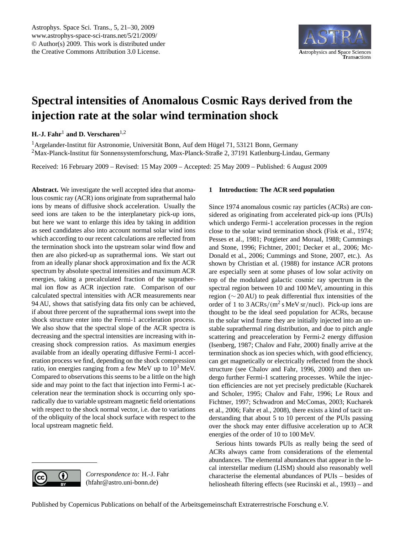

# <span id="page-0-0"></span>**Spectral intensities of Anomalous Cosmic Rays derived from the injection rate at the solar wind termination shock**

**H.-J. Fahr<sup>1</sup> and D. Verscharen**<sup>1,2</sup>

 $1$  Argelander-Institut für Astronomie, Universität Bonn, Auf dem Hügel 71, 53121 Bonn, Germany <sup>2</sup>Max-Planck-Institut fur Sonnensystemforschung, Max-Planck-Straße 2, 37191 Katlenburg-Lindau, Germany ¨

Received: 16 February 2009 – Revised: 15 May 2009 – Accepted: 25 May 2009 – Published: 6 August 2009

**Abstract.** We investigate the well accepted idea that anomalous cosmic ray (ACR) ions originate from suprathermal halo ions by means of diffusive shock acceleration. Usually the seed ions are taken to be the interplanetary pick-up ions, but here we want to enlarge this idea by taking in addition as seed candidates also into account normal solar wind ions which according to our recent calculations are reflected from the termination shock into the upstream solar wind flow and then are also picked-up as suprathermal ions. We start out from an ideally planar shock approximation and fix the ACR spectrum by absolute spectral intensities and maximum ACR energies, taking a precalculated fraction of the suprathermal ion flow as ACR injection rate. Comparison of our calculated spectral intensities with ACR measurements near 94 AU, shows that satisfying data fits only can be achieved, if about three percent of the suprathermal ions swept into the shock structure enter into the Fermi-1 acceleration process. We also show that the spectral slope of the ACR spectra is decreasing and the spectral intensities are increasing with increasing shock compression ratios. As maximum energies available from an ideally operating diffusive Fermi-1 acceleration process we find, depending on the shock compression ratio, ion energies ranging from a few MeV up to  $10^3$  MeV. Compared to observations this seems to be a little on the high side and may point to the fact that injection into Fermi-1 acceleration near the termination shock is occurring only sporadically due to variable upstream magnetic field orientations with respect to the shock normal vector, i.e. due to variations of the obliquity of the local shock surface with respect to the local upstream magnetic field.

# **1 Introduction: The ACR seed population**

Since 1974 anomalous cosmic ray particles (ACRs) are considered as originating from accelerated pick-up ions (PUIs) which undergo Fermi-1 acceleration processes in the region close to the solar wind termination shock [\(Fisk et al.,](#page-8-0) [1974;](#page-8-0) [Pesses et al.,](#page-9-0) [1981;](#page-9-0) [Potgieter and Moraal,](#page-9-1) [1988;](#page-9-1) [Cummings](#page-8-1) [and Stone,](#page-8-1) [1996;](#page-8-1) [Fichtner,](#page-8-2) [2001;](#page-8-2) [Decker et al.,](#page-8-3) [2006;](#page-8-3) [Mc-](#page-9-2)[Donald et al.,](#page-9-2) [2006;](#page-9-2) [Cummings and Stone,](#page-8-4) [2007,](#page-8-4) etc.). As shown by [Christian et al.](#page-8-5) [\(1988\)](#page-8-5) for instance ACR protons are especially seen at some phases of low solar activity on top of the modulated galactic cosmic ray spectrum in the spectral region between 10 and 100 MeV, amounting in this region (∼ 20 AU) to peak differential flux intensities of the order of 1 to  $3 ACRs/(m^2 s MeV sr/nucl)$ . Pick-up ions are thought to be the ideal seed population for ACRs, because in the solar wind frame they are initially injected into an unstable suprathermal ring distribution, and due to pitch angle scattering and preacceleration by Fermi-2 energy diffusion [\(Isenberg,](#page-8-6) [1987;](#page-8-6) [Chalov and Fahr,](#page-8-7) [2000\)](#page-8-7) finally arrive at the termination shock as ion species which, with good efficiency, can get magnetically or electrically reflected from the shock structure (see [Chalov and Fahr,](#page-8-8) [1996,](#page-8-8) [2000\)](#page-8-7) and then undergo further Fermi-1 scattering processes. While the injection efficiencies are not yet precisely predictable [\(Kucharek](#page-8-9) [and Scholer,](#page-8-9) [1995;](#page-8-9) [Chalov and Fahr,](#page-8-8) [1996;](#page-8-8) [Le Roux and](#page-8-10) [Fichtner,](#page-8-10) [1997;](#page-8-10) [Schwadron and McComas,](#page-9-3) [2003;](#page-9-3) [Kucharek](#page-8-11) [et al.,](#page-8-11) [2006;](#page-8-11) [Fahr et al.,](#page-8-12) [2008\)](#page-8-12), there exists a kind of tacit understanding that about 5 to 10 percent of the PUIs passing over the shock may enter diffusive acceleration up to ACR energies of the order of 10 to 100 MeV.

Serious hints towards PUIs as really being the seed of ACRs always came from considerations of the elemental abundances. The elemental abundances that appear in the local interstellar medium (LISM) should also reasonably well characterise the elemental abundances of PUIs – besides of heliosheath filtering effects (see [Rucinski et al.,](#page-9-4) [1993\)](#page-9-4) – and



*Correspondence to:* H.-J. Fahr (hfahr@astro.uni-bonn.de)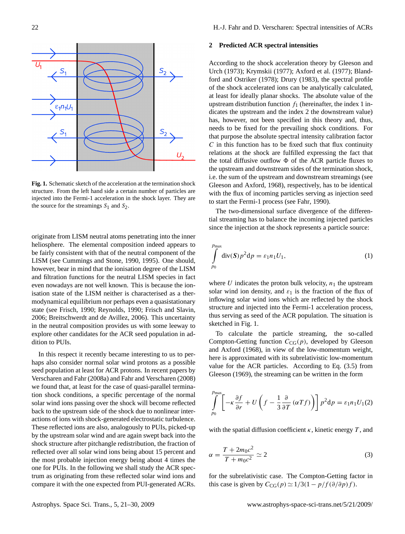$S<sub>2</sub>$  $\varepsilon_1 n_1 U_1$  $S_2$ U.

<span id="page-1-0"></span>**Fig. 1.** Schematic sketch of the acceleration at the termination shock structure. From the left hand side a certain number of particles are injected into the Fermi-1 acceleration in the shock layer. They are the source for the streamings  $S_1$  and  $S_2$ .

originate from LISM neutral atoms penetrating into the inner heliosphere. The elemental composition indeed appears to be fairly consistent with that of the neutral component of the LISM (see [Cummings and Stone,](#page-8-13) [1990,](#page-8-13) [1995\)](#page-8-14). One should, however, bear in mind that the ionisation degree of the LISM and filtration functions for the neutral LISM species in fact even nowadays are not well known. This is because the ionisation state of the LISM neither is characterised as a thermodynamical equilibrium nor perhaps even a quasistationary state (see [Frisch,](#page-8-15) [1990;](#page-8-15) [Reynolds,](#page-9-5) [1990;](#page-9-5) [Frisch and Slavin,](#page-8-16) [2006;](#page-8-16) [Breitschwerdt and de Avillez,](#page-7-0) [2006\)](#page-7-0). This uncertainty in the neutral composition provides us with some leeway to explore other candidates for the ACR seed population in addition to PUIs.

In this respect it recently became interesting to us to perhaps also consider normal solar wind protons as a possible seed population at least for ACR protons. In recent papers by [Verscharen and Fahr](#page-9-6) [\(2008a\)](#page-9-6) and [Fahr and Verscharen](#page-8-17) [\(2008\)](#page-8-17) we found that, at least for the case of quasi-parallel termination shock conditions, a specific percentage of the normal solar wind ions passing over the shock will become reflected back to the upstream side of the shock due to nonlinear interactions of ions with shock-generated electrostatic turbulence. These reflected ions are also, analogously to PUIs, picked-up by the upstream solar wind and are again swept back into the shock structure after pitchangle redistribution, the fraction of reflected over all solar wind ions being about 15 percent and the most probable injection energy being about 4 times the one for PUIs. In the following we shall study the ACR spectrum as originating from these reflected solar wind ions and compare it with the one expected from PUI-generated ACRs.

# **2 Predicted ACR spectral intensities**

According to the shock acceleration theory by [Gleeson and](#page-8-18) [Urch](#page-8-18) [\(1973\)](#page-8-18); [Krymskii](#page-8-19) [\(1977\)](#page-8-19); [Axford et al.](#page-7-1) [\(1977\)](#page-7-1); [Bland](#page-7-2)[ford and Ostriker](#page-7-2) [\(1978\)](#page-7-2); [Drury](#page-8-20) [\(1983\)](#page-8-20), the spectral profile of the shock accelerated ions can be analytically calculated, at least for ideally planar shocks. The absolute value of the upstream distribution function  $f_1$  (hereinafter, the index 1 indicates the upstream and the index 2 the downstream value) has, however, not been specified in this theory and, thus, needs to be fixed for the prevailing shock conditions. For that purpose the absolute spectral intensity calibration factor  $C$  in this function has to be fixed such that flux continuity relations at the shock are fulfilled expressing the fact that the total diffusive outflow  $\Phi$  of the ACR particle fluxes to the upstream and downstream sides of the termination shock, i.e. the sum of the upstream and downstream streamings (see [Gleeson and Axford,](#page-8-21) [1968\)](#page-8-21), respectively, has to be identical with the flux of incoming particles serving as injection seed to start the Fermi-1 process (see [Fahr,](#page-8-22) [1990\)](#page-8-22).

The two-dimensional surface divergence of the differential streaming has to balance the incoming injected particles since the injection at the shock represents a particle source:

$$
\int_{p_0}^{p_{\text{max}}} \text{div}(\mathbf{S}) p^2 \, \mathrm{d}p = \varepsilon_1 n_1 U_1,\tag{1}
$$

where  $U$  indicates the proton bulk velocity,  $n_1$  the upstream solar wind ion density, and  $\varepsilon_1$  is the fraction of the flux of inflowing solar wind ions which are reflected by the shock structure and injected into the Fermi-1 acceleration process, thus serving as seed of the ACR population. The situation is sketched in Fig. [1.](#page-1-0)

To calculate the particle streaming, the so-called Compton-Getting function  $C_{CG}(p)$ , developed by [Gleeson](#page-8-21) [and Axford](#page-8-21) [\(1968\)](#page-8-21), in view of the low-momentum weight, here is approximated with its subrelativistic low-momentum value for the ACR particles. According to Eq. (3.5) from [Gleeson](#page-8-23) [\(1969\)](#page-8-23), the streaming can be written in the form

$$
\int_{p_0}^{p_{\text{max}}} \left[ -\kappa \frac{\partial f}{\partial r} + U \left( f - \frac{1}{3} \frac{\partial}{\partial T} (\alpha T f) \right) \right] p^2 \mathrm{d}p = \varepsilon_1 n_1 U_1(2)
$$

with the spatial diffusion coefficient  $\kappa$ , kinetic energy T, and

$$
\alpha = \frac{T + 2m_0c^2}{T + m_0c^2} \simeq 2\tag{3}
$$

for the subrelativistic case. The Compton-Getting factor in this case is given by  $C_{CG}(p) \simeq 1/3(1 - p/f(\partial/\partial p)f)$ .

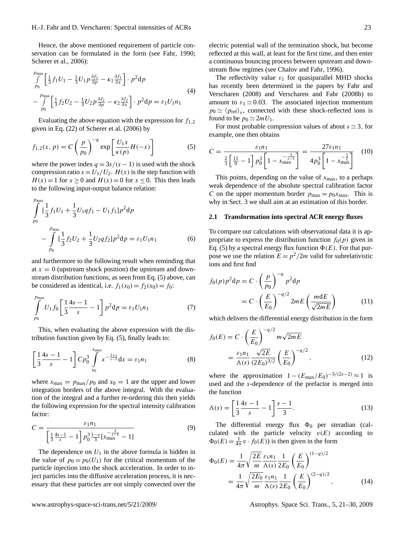Hence, the above mentioned requirement of particle conservation can be formulated in the form (see [Fahr,](#page-8-22) [1990;](#page-8-22) [Scherer et al.,](#page-9-7) [2006\)](#page-9-7):

$$
\int_{p_0}^{p_{\text{max}}} \left[ \frac{1}{3} f_1 U_1 - \frac{1}{3} U_1 p \frac{\partial f_1}{\partial p} - \kappa_1 \frac{\partial f_1}{\partial x} \right] \cdot p^2 \, \mathrm{d} p
$$
\n
$$
- \int_{p_0}^{p_{\text{max}}} \left[ \frac{1}{3} f_2 U_2 - \frac{1}{3} U_2 p \frac{\partial f_2}{\partial p} - \kappa_2 \frac{\partial f_2}{\partial x} \right] \cdot p^2 \, \mathrm{d} p = \varepsilon_1 U_1 n_1
$$
\n(4)

Evaluating the above equation with the expression for  $f_{1,2}$ given in Eq. (22) of [Scherer et al.](#page-9-7) [\(2006\)](#page-9-7) by

<span id="page-2-0"></span>
$$
f_{1,2}(x, p) = C\left(\frac{p}{p_0}\right)^{-q} \exp\left[\frac{U_1 x}{\kappa(p)} H(-x)\right]
$$
 (5)

where the power index  $q = 3s/(s - 1)$  is used with the shock compression ratio  $s = U_1/U_2$ .  $H(x)$  is the step function with  $H(x) = 1$  for  $x \ge 0$  and  $H(x) = 0$  for  $x \le 0$ . This then leads to the following input-output balance relation:

<span id="page-2-1"></span>
$$
\int_{p_0}^{p_{\text{max}}} \left[ \frac{1}{3} f_1 U_1 + \frac{1}{3} U_1 q f_1 - U_1 f_1 \right] p^2 \, \mathrm{d} p
$$
\n
$$
- \int_{p_0}^{p_{\text{max}}} \left[ \frac{1}{3} f_2 U_2 + \frac{1}{3} U_2 q f_2 \right] p^2 \, \mathrm{d} p = \varepsilon_1 U_1 n_1 \tag{6}
$$

and furthermore to the following result when reminding that at  $x = 0$  (upstream shock position) the upstream and downstream distribution functions, as seen from Eq. [\(5\)](#page-2-0) above, can be considered as identical, i.e.  $f_1(x_0) = f_2(x_0) = f_0$ :

$$
\int_{p_0}^{p_{\text{max}}} U_1 f_0 \left[ \frac{1}{3} \frac{4s - 1}{s} - 1 \right] p^2 \mathrm{d}p = \varepsilon_1 U_1 n_1 \tag{7}
$$

This, when evaluating the above expression with the distribution function given by Eq. [\(5\)](#page-2-0), finally leads to:

$$
\left[\frac{1}{3}\frac{4s-1}{s} - 1\right]Cp_0^3 \int_{x_0}^{x_{\text{max}}} x^{-\frac{2+s}{s-1}} dx = \varepsilon_1 n_1 \tag{8}
$$

where  $x_{\text{max}} = p_{\text{max}}/p_0$  and  $x_0 = 1$  are the upper and lower integration borders of the above integral. With the evaluation of the integral and a further re-ordering this then yields the following expression for the spectral intensity calibration factor:

$$
C = \frac{\varepsilon_1 n_1}{\left[\frac{1}{3}\frac{4s-1}{s} - 1\right] p_0^3 \frac{1-s}{3} \left[x_{\text{max}}^{-\frac{3}{s-1}} - 1\right]}
$$
(9)

The dependence on  $U_1$  in the above formula is hidden in the value of  $p_0 = p_0(U_1)$  for the critical momentum of the particle injection into the shock acceleration. In order to inject particles into the diffusive acceleration process, it is necessary that these particles are not simply convected over the

electric potential wall of the termination shock, but become reflected at this wall, at least for the first time, and then enter a continuous bouncing process between upstream and down-

stream flow regimes (see [Chalov and Fahr,](#page-8-8) [1996\)](#page-8-8). The reflectivity value  $\varepsilon_1$  for quasiparallel MHD shocks has recently been determined in the papers by [Fahr and](#page-8-17) [Verscharen](#page-8-17) [\(2008\)](#page-8-17) and [Verscharen and Fahr](#page-9-8) [\(2008b\)](#page-9-8) to amount to  $\varepsilon_1 \simeq 0.03$ . The associated injection momentum  $p_0 \simeq \langle p_{\text{ref}} \rangle_v$ , connected with these shock-reflected ions is found to be  $p_0 \simeq 2mU_1$ .

For most probable compression values of about  $s \approx 3$ , for example, one then obtains

<span id="page-2-2"></span>
$$
C = \frac{\varepsilon_1 n_1}{\frac{2}{3} \left[ \frac{11}{9} - 1 \right] p_0^3 \left[ 1 - x_{\text{max}}^{-\frac{3}{s-1}} \right]} = \frac{27 \varepsilon_1 n_1}{4 p_0^3 \left[ 1 - x_{\text{max}}^{-\frac{3}{2}} \right]} \tag{10}
$$

This points, depending on the value of  $x_{\text{max}}$ , to a perhaps weak dependence of the absolute spectral calibration factor C on the upper momentum border  $p_{\text{max}} = p_0 x_{\text{max}}$ . This is why in Sect. [3](#page-3-0) we shall aim at an estimation of this border.

#### **2.1 Transformation into spectral ACR energy fluxes**

To compare our calculations with observational data it is appropriate to express the distribution function  $f_0(p)$  given in Eq. [\(5\)](#page-2-0) by a spectral energy flux function  $\Phi(E)$ . For that purpose we use the relation  $E = p^2/2m$  valid for subrelativistic ions and first find

$$
f_0(p)p^2dp = C \cdot \left(\frac{p}{p_0}\right)^{-q} p^2dp
$$
  
= 
$$
C \cdot \left(\frac{E}{E_0}\right)^{-q/2} 2mE\left(\frac{m dE}{\sqrt{2mE}}\right)
$$
 (11)

which delivers the differential energy distribution in the form

$$
f_0(E) = C \cdot \left(\frac{E}{E_0}\right)^{-q/2} m\sqrt{2mE}
$$
  
=  $\frac{\varepsilon_1 n_1}{\Lambda(s)} \frac{\sqrt{2E}}{(2E_0)^{3/2}} \left(\frac{E}{E_0}\right)^{-q/2}$ , (12)

where the approximation  $1 - (E_{\text{max}}/E_0)^{-3/(2s-2)} \approx 1$  is used and the s-dependence of the prefactor is merged into the function

$$
\Lambda(s) = \left[\frac{1}{3}\frac{4s-1}{s} - 1\right]\frac{s-1}{3}.\tag{13}
$$

The differential energy flux  $\Phi_0$  per steradian (calculated with the particle velocity  $v(E)$  according to  $\Phi_0(E) = \frac{1}{4\pi} v \cdot f_0(E)$  is then given in the form

$$
\Phi_0(E) = \frac{1}{4\pi} \sqrt{\frac{2E}{m}} \frac{\varepsilon_1 n_1}{\Lambda(s)} \frac{1}{2E_0} \left(\frac{E}{E_0}\right)^{(1-q)/2} \n= \frac{1}{4\pi} \sqrt{\frac{2E_0}{m}} \frac{\varepsilon_1 n_1}{\Lambda(s)} \frac{1}{2E_0} \left(\frac{E}{E_0}\right)^{(2-q)/2},
$$
\n(14)

www.astrophys-space-sci-trans.net/5/21/2009/ Astrophys. Space Sci. Trans., 5, 21[–30,](#page-0-0) 2009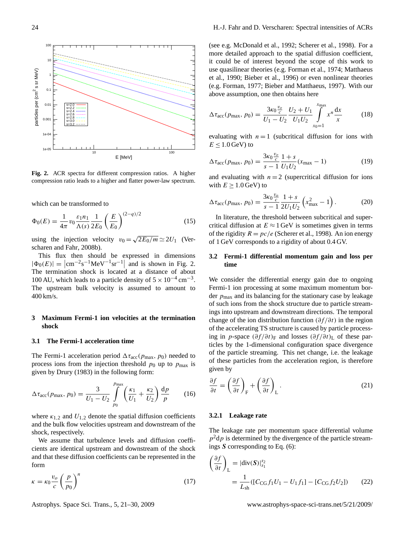

<span id="page-3-1"></span>**Fig. 2.** ACR spectra for different compression ratios. A higher compression ratio leads to a higher and flatter power-law spectrum.

which can be transformed to

<span id="page-3-3"></span>
$$
\Phi_0(E) = \frac{1}{4\pi} v_0 \frac{\varepsilon_1 n_1}{\Lambda(s)} \frac{1}{2E_0} \left(\frac{E}{E_0}\right)^{(2-q)/2}
$$
(15)

using the injection velocity  $v_0 = \sqrt{ }$  $2E_0/m \simeq 2U_1$  [\(Ver](#page-9-8)[scharen and Fahr,](#page-9-8) [2008b\)](#page-9-8).

This flux then should be expressed in dimensions  $|\Phi_0(E)| = |\text{cm}^{-2} \text{s}^{-1} \text{MeV}^{-1} \text{sr}^{-1}|$  and is shown in Fig. [2.](#page-3-1) The termination shock is located at a distance of about 100 AU, which leads to a particle density of  $5 \times 10^{-4}$  cm<sup>-3</sup>. The upstream bulk velocity is assumed to amount to 400 km/s.

## <span id="page-3-0"></span>**3 Maximum Fermi-1 ion velocities at the termination shock**

## **3.1 The Fermi-1 acceleration time**

The Fermi-1 acceleration period  $\Delta \tau_{\text{acc}}(p_{\text{max}}, p_0)$  needed to process ions from the injection threshold  $p_0$  up to  $p_{\text{max}}$  is given by [Drury](#page-8-20) [\(1983\)](#page-8-20) in the following form:

$$
\Delta \tau_{\text{acc}}(p_{\text{max}}, p_0) = \frac{3}{U_1 - U_2} \int_{p_0}^{p_{\text{max}}} \left( \frac{\kappa_1}{U_1} + \frac{\kappa_2}{U_2} \right) \frac{dp}{p} \qquad (16)
$$

where  $\kappa_{1,2}$  and  $U_{1,2}$  denote the spatial diffusion coefficients and the bulk flow velocities upstream and downstream of the shock, respectively.

We assume that turbulence levels and diffusion coefficients are identical upstream and downstream of the shock and that these diffusion coefficients can be represented in the form

<span id="page-3-2"></span>
$$
\kappa = \kappa_0 \frac{v_o}{c} \left(\frac{p}{p_0}\right)^n \tag{17}
$$

(see e.g. [McDonald et al.,](#page-9-9) [1992;](#page-9-9) [Scherer et al.,](#page-9-10) [1998\)](#page-9-10). For a more detailed approach to the spatial diffusion coefficient, it could be of interest beyond the scope of this work to use quasilinear theories (e.g. [Forman et al.,](#page-8-24) [1974;](#page-8-24) [Matthaeus](#page-8-25) [et al.,](#page-8-25) [1990;](#page-8-25) [Bieber et al.,](#page-7-3) [1996\)](#page-7-3) or even nonlinear theories (e.g. [Forman,](#page-8-26) [1977;](#page-8-26) [Bieber and Matthaeus,](#page-7-4) [1997\)](#page-7-4). With our above assumption, one then obtains here

$$
\Delta \tau_{\text{acc}}(p_{\text{max}}, p_0) = \frac{3\kappa_0 \frac{v_o}{c}}{U_1 - U_2} \frac{U_2 + U_1}{U_1 U_2} \int_{x_0 = 1}^{x_{\text{max}}} x^n \frac{dx}{x}
$$
(18)

evaluating with  $n = 1$  (subcritical diffusion for ions with  $E < 1.0$  GeV) to

$$
\Delta \tau_{\rm acc}(p_{\rm max}, p_0) = \frac{3\kappa_0 \frac{v_o}{c}}{s - 1} \frac{1 + s}{U_1 U_2} (x_{\rm max} - 1)
$$
(19)

and evaluating with  $n = 2$  (supercritical diffusion for ions with  $E \geq 1.0$  GeV) to

$$
\Delta \tau_{\rm acc}(p_{\rm max}, p_0) = \frac{3\kappa_0 \frac{v_o}{c}}{s - 1} \frac{1 + s}{2U_1 U_2} \left( x_{\rm max}^2 - 1 \right). \tag{20}
$$

In literature, the threshold between subcritical and supercritical diffusion at  $E \approx 1$  GeV is sometimes given in terms of the rigidity  $R = pc/e$  [\(Scherer et al.,](#page-9-10) [1998\)](#page-9-10). An ion energy of 1 GeV corresponds to a rigidity of about 0.4 GV.

# **3.2 Fermi-1 differential momentum gain and loss per time**

We consider the differential energy gain due to ongoing Fermi-1 ion processing at some maximum momentum border  $p_{\text{max}}$  and its balancing for the stationary case by leakage of such ions from the shock structure due to particle streamings into upstream and downstream directions. The temporal change of the ion distribution function  $(\partial f/\partial t)$  in the region of the accelerating TS structure is caused by particle processing in p-space  $(\partial f/\partial t)$ <sub>F</sub> and losses  $(\partial f/\partial t)$ <sub>L</sub> of these particles by the 1-dimensional configuration space divergence of the particle streaming. This net change, i.e. the leakage of these particles from the acceleration region, is therefore given by

$$
\frac{\partial f}{\partial t} = \left(\frac{\partial f}{\partial t}\right)_{\text{F}} + \left(\frac{\partial f}{\partial t}\right)_{\text{L}}.\tag{21}
$$

#### **3.2.1 Leakage rate**

The leakage rate per momentum space differential volume  $p^2$ dp is determined by the divergence of the particle streamings S corresponding to Eq. [\(6\)](#page-2-1):

$$
\left(\frac{\partial f}{\partial t}\right)_{\mathcal{L}} = |\text{div}(\mathbf{S})|_{s_1}^{s_2}
$$

$$
= \frac{1}{L_{\text{sh}}} ([C_{\text{CG}} f_1 U_1 - U_1 f_1] - [C_{\text{CG}} f_2 U_2]) \qquad (22)
$$

Astrophys. Space Sci. Trans., 5, 21[–30,](#page-0-0) 2009 www.astrophys-space-sci-trans.net/5/21/2009/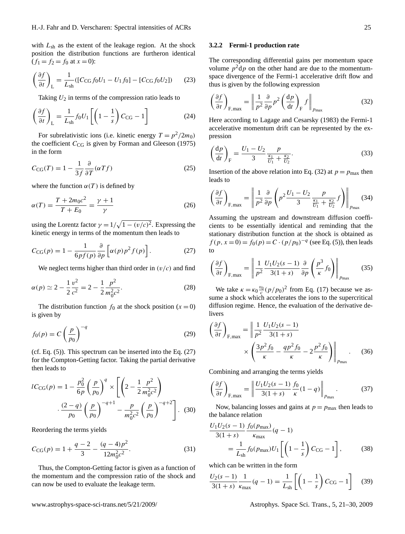with  $L_{sh}$  as the extent of the leakage region. At the shock position the distribution functions are furtheron identical  $(f_1 = f_2 = f_0 \text{ at } x = 0):$ 

$$
\left(\frac{\partial f}{\partial t}\right)_{\text{L}} = \frac{1}{L_{\text{sh}}}([C_{\text{CG}}f_0U_1 - U_1f_0] - [C_{\text{CG}}f_0U_2])\tag{23}
$$

Taking  $U_2$  in terms of the compression ratio leads to

$$
\left(\frac{\partial f}{\partial t}\right)_{\text{L}} = \frac{1}{L_{\text{sh}}} f_0 U_1 \left[ \left( 1 - \frac{1}{s} \right) C_{\text{CG}} - 1 \right] \tag{24}
$$

For subrelativistic ions (i.e. kinetic energy  $T = p^2/2m_0$ ) the coefficient  $C_{CG}$  is given by [Forman and Gleeson](#page-8-27) [\(1975\)](#page-8-27) in the form

$$
C_{\text{CG}}(T) = 1 - \frac{1}{3f} \frac{\partial}{\partial T} (\alpha T f) \tag{25}
$$

where the function  $\alpha(T)$  is defined by

$$
\alpha(T) = \frac{T + 2m_0 c^2}{T + E_0} = \frac{\gamma + 1}{\gamma}
$$
\n(26)

using the Lorentz factor  $\gamma = 1/\sqrt{1 - (v/c)^2}$ . Expressing the kinetic energy in terms of the momentum then leads to

<span id="page-4-0"></span>
$$
C_{\text{CG}}(p) = 1 - \frac{1}{6pf(p)} \frac{\partial}{\partial p} \left[ \alpha(p)p^2 f(p) \right]. \tag{27}
$$

We neglect terms higher than third order in  $(v/c)$  and find

<span id="page-4-3"></span>
$$
\alpha(p) \simeq 2 - \frac{1}{2} \frac{v^2}{c^2} = 2 - \frac{1}{2} \frac{p^2}{m_0^2 c^2}.
$$
 (28)

The distribution function  $f_0$  at the shock position  $(x = 0)$ is given by

$$
f_0(p) = C \left(\frac{p}{p_0}\right)^{-q} \tag{29}
$$

(cf. Eq. [\(5\)](#page-2-0)). This spectrum can be inserted into the Eq. [\(27\)](#page-4-0) for the Compton-Getting factor. Taking the partial derivative then leads to

$$
lC_{CG}(p) = 1 - \frac{p_0^2}{6p} \left(\frac{p}{p_0}\right)^q \times \left[ \left(2 - \frac{1}{2} \frac{p^2}{m_0^2 c^2}\right) - \frac{(2 - q)}{p_0} \left(\frac{p}{p_0}\right)^{-q+1} - \frac{p}{m_0^2 c^2} \left(\frac{p}{p_0}\right)^{-q+2} \right].
$$
 (30)

Reordering the terms yields

<span id="page-4-2"></span>
$$
C_{\text{CG}}(p) = 1 + \frac{q-2}{3} - \frac{(q-4)p^2}{12m_0^2c^2}.
$$
 (31)

Thus, the Compton-Getting factor is given as a function of the momentum and the compression ratio of the shock and can now be used to evaluate the leakage term.

## **3.2.2 Fermi-1 production rate**

The corresponding differential gains per momentum space volume  $p^2dp$  on the other hand are due to the momentumspace divergence of the Fermi-1 accelerative drift flow and thus is given by the following expression

<span id="page-4-1"></span>
$$
\left(\frac{\partial f}{\partial t}\right)_{\text{F,max}} = \left\|\frac{1}{p^2}\frac{\partial}{\partial p}p^2 \left(\frac{\mathrm{d}p}{\mathrm{d}t}\right)_{\text{F}}f\right\|_{p_{\text{max}}}
$$
(32)

Here according to [Lagage and Cesarsky](#page-8-28) [\(1983\)](#page-8-28) the Fermi-1 accelerative momentum drift can be represented by the expression

$$
\left(\frac{dp}{dt}\right)_{F} = \frac{U_1 - U_2}{3} \frac{p}{\frac{\kappa_1}{U_1} + \frac{\kappa_2}{U_2}}.
$$
\n(33)

Insertion of the above relation into Eq. [\(32\)](#page-4-1) at  $p = p_{\text{max}}$  then leads to

$$
\left(\frac{\partial f}{\partial t}\right)_{\text{F,max}} = \left\| \frac{1}{p^2} \frac{\partial}{\partial p} \left( p^2 \frac{U_1 - U_2}{3} \frac{p}{\frac{\kappa_1}{U_1} + \frac{\kappa_2}{U_2}} f \right) \right\|_{p_{\text{max}}} (34)
$$

Assuming the upstream and downstream diffusion coefficients to be essentially identical and reminding that the stationary distribution function at the shock is obtained as  $f(p, x=0) = f_0(p) = C \cdot (p/p_0)^{-q}$  (see Eq. [\(5\)](#page-2-0)), then leads to

$$
\left(\frac{\partial f}{\partial t}\right)_{\text{F,max}} = \left\| \frac{1}{p^2} \frac{U_1 U_2 (s-1)}{3(1+s)} \frac{\partial}{\partial p} \left(\frac{p^3}{\kappa} f_0\right) \right\|_{p_{\text{max}}} \tag{35}
$$

We take  $\kappa = \kappa_0 \frac{v_0}{c} (p/p_0)^2$  from Eq. [\(17\)](#page-3-2) because we assume a shock which accelerates the ions to the supercritical diffusion regime. Hence, the evaluation of the derivative delivers

$$
\left(\frac{\partial f}{\partial t}\right)_{\text{F,max}} = \left\| \frac{1}{p^2} \frac{U_1 U_2 (s-1)}{3(1+s)} \times \left( \frac{3p^2 f_0}{\kappa} - \frac{q p^2 f_0}{\kappa} - 2 \frac{p^2 f_0}{\kappa} \right) \right\|_{p_{\text{max}}}.
$$
 (36)

Combining and arranging the terms yields

$$
\left(\frac{\partial f}{\partial t}\right)_{\text{F,max}} = \left\| \frac{U_1 U_2(s-1)}{3(1+s)} \frac{f_0}{\kappa} (1-q) \right\|_{p_{\text{max}}}.
$$
 (37)

Now, balancing losses and gains at  $p = p_{\text{max}}$  then leads to the balance relation

$$
\frac{U_1 U_2 (s-1)}{3(1+s)} \frac{f_0(p_{\text{max}})}{\kappa_{\text{max}}} (q-1)
$$
  
= 
$$
\frac{1}{L_{\text{sh}}} f_0(p_{\text{max}}) U_1 \left[ \left( 1 - \frac{1}{s} \right) C_{\text{CG}} - 1 \right],
$$
 (38)

which can be written in the form

$$
\frac{U_2(s-1)}{3(1+s)} \frac{1}{\kappa_{\text{max}}} (q-1) = \frac{1}{L_{\text{sh}}} \left[ \left( 1 - \frac{1}{s} \right) C_{\text{CG}} - 1 \right] \tag{39}
$$

www.astrophys-space-sci-trans.net/5/21/2009/ Astrophys. Space Sci. Trans., 5, 21[–30,](#page-0-0) 2009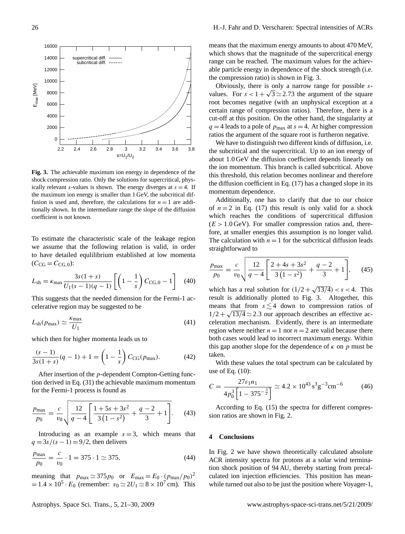

<span id="page-5-0"></span>**Fig. 3.** The achievable maximum ion energy in dependence of the shock compression ratio. Only the solutions for supercritical, physically relevant s-values is shown. The energy diverges at  $s = 4$ . If the maximum ion energy is smaller than 1 GeV, the subcritical diffusion is used and, therefore, the calculations for  $n = 1$  are additionally shown. In the intermediate range the slope of the diffusion coefficient is not known.

To estimate the characteristic scale of the leakage region we assume that the following relation is valid, in order to have detailed equlilibrium established at low momenta  $(C_{CG} = C_{CG.0})$ :

$$
L_{\rm sh} = \kappa_{\rm max} \frac{3s(1+s)}{U_1(s-1)(q-1)} \left[ \left( 1 - \frac{1}{s} \right) C_{\rm CG,0} - 1 \right] \tag{40}
$$

This suggests that the needed dimension for the Fermi-1 accelerative region may be suggested to be

$$
L_{\rm sh}(p_{\rm max}) \simeq \frac{\kappa_{\rm max}}{U_1} \tag{41}
$$

which then for higher momenta leads us to

$$
\frac{(s-1)}{3s(1+s)}(q-1) + 1 = \left(1 - \frac{1}{s}\right)C_{\text{CG}}(p_{\text{max}}). \tag{42}
$$

After insertion of the p-dependent Compton-Getting function derived in Eq. [\(31\)](#page-4-2) the achievable maximum momentum for the Fermi-1 process is found as

$$
\frac{p_{\text{max}}}{p_0} = \frac{c}{v_0} \sqrt{\frac{12}{q - 4} \left[ \frac{1 + 5s + 3s^2}{3(1 - s^2)} + \frac{q - 2}{3} + 1 \right]}.
$$
 (43)

Introducing as an example  $s = 3$ , which means that  $q = 3s/(s-1) = 9/2$ , then delivers

$$
\frac{p_{\text{max}}}{p_0} = \frac{c}{v_0} \cdot 1 = 375 \cdot 1 \simeq 375,\tag{44}
$$

meaning that  $p_{\text{max}} \simeq 375 p_0$  or  $E_{\text{max}} = E_0 \cdot (p_{\text{max}}/p_0)^2$  $= 1.4 \times 10^5 \cdot E_0$  (remember:  $v_0 \simeq 2U_1 \simeq 8 \times 10^7$  cm). This

means that the maximum energy amounts to about 470 MeV, which shows that the magnitude of the supercritical energy range can be reached. The maximum values for the achievable particle energy in dependence of the shock strength (i.e. the compression ratio) is shown in Fig. [3.](#page-5-0)

Obviously, there is only a narrow range for possible svalues. For  $s < 1 + \sqrt{3} \approx 2.73$  the argument of the square root becomes negative (with an unphysical exception at a certain range of compression ratios). Therefore, there is a cut-off at this position. On the other hand, the singularity at  $q = 4$  leads to a pole of  $p_{\text{max}}$  at  $s = 4$ . At higher compression ratios the argument of the square root is furtheron negative.

We have to distinguish two different kinds of diffusion, i.e. the subcritical and the supercritical. Up to an ion energy of about 1.0 GeV the diffusion coefficient depends linearly on the ion momentum. This branch is called subcritical. Above this threshold, this relation becomes nonlinear and therefore the diffusion coefficient in Eq. [\(17\)](#page-3-2) has a changed slope in its momentum dependence.

Additionally, one has to clarify that due to our choice of  $n = 2$  in Eq. [\(17\)](#page-3-2) this result is only valid for a shock which reaches the conditions of supercritical diffusion  $(E > 1.0 \,\text{GeV})$ . For smaller compression ratios and, therefore, at smaller energies this assumption is no longer valid. The calculation with  $n = 1$  for the subcritical diffusion leads straightforward to

$$
\frac{p_{\text{max}}}{p_0} = \frac{c}{v_0} \sqrt{\frac{12}{q - 4} \left[ \frac{2 + 4s + 3s^2}{3 \left( 1 - s^2 \right)} + \frac{q - 2}{3} + 1 \right]},\tag{45}
$$

which has a real solution for  $(1/2 + \sqrt{2})$  $(13/4) < s < 4$ . This result is additionally plotted to Fig. [3.](#page-5-0) Altogether, this means that from  $s \lesssim 4$  down to compression ratios of  $1/2 + \sqrt{13/4} \simeq 2.3$  our approach describes an effective acceleration mechanism. Evidently, there is an intermediate region where neither  $n = 1$  nor  $n = 2$  are valid because there both cases would lead to incorrect maximum energy. Within this gap another slope for the dependence of  $\kappa$  on p must be taken.

With these values the total spectrum can be calculated by use of Eq. [\(10\)](#page-2-2):

$$
C = \frac{27\varepsilon_1 n_1}{4p_0^3 \left[1 - 375^{-\frac{3}{2}}\right]} \simeq 4.2 \times 10^{43} \,\mathrm{s}^3 \mathrm{g}^{-3} \mathrm{cm}^{-6} \tag{46}
$$

According to Eq. [\(15\)](#page-3-3) the spectra for different compression ratios are shown in Fig. [2.](#page-3-1)

### **4 Conclusions**

In Fig. [2](#page-3-1) we have shown theoretically calculated absolute ACR intensity spectra for protons at a solar wind termination shock position of 94 AU, thereby starting from precalculated ion injection efficiencies. This position has meanwhile turned out also to be just the position where Voyager-1,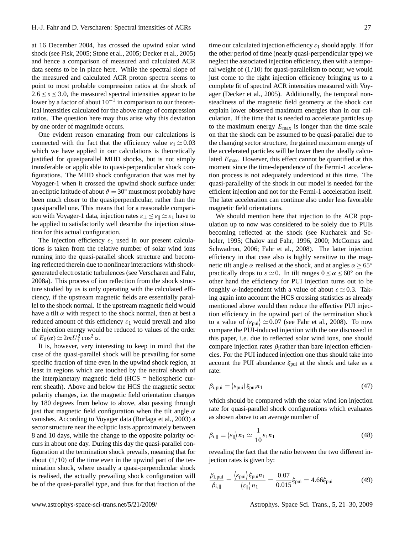at 16 December 2004, has crossed the upwind solar wind shock (see [Fisk,](#page-8-29) [2005;](#page-8-29) [Stone et al.,](#page-9-11) [2005;](#page-9-11) [Decker et al.,](#page-8-30) [2005\)](#page-8-30) and hence a comparison of measured and calculated ACR data seems to be in place here. While the spectral slope of the measured and calculated ACR proton spectra seems to point to most probable compression ratios at the shock of  $2.6 \le s \le 3.0$ , the measured spectral intensities appear to be lower by a factor of about  $10^{-1}$  in comparison to our theoretical intensities calculated for the above range of compression ratios. The question here may thus arise why this deviation by one order of magnitude occurs.

One evident reason emanating from our calculations is connected with the fact that the efficiency value  $\varepsilon_1 \approx 0.03$ which we have applied in our calculations is theoretically justified for quasiparallel MHD shocks, but is not simply transferable or applicable to quasi-perpendicular shock configurations. The MHD shock configuration that was met by Voyager-1 when it crossed the upwind shock surface under an ecliptic latitude of about  $\vartheta = 30^\circ$  must most probably have been much closer to the quasiperpendicular, rather than the quasiparallel one. This means that for a reasonable comparison with Voyager-1 data, injection rates  $\varepsilon_{\perp} \leq \varepsilon_{\parallel} \simeq \varepsilon_1$  have to be applied to satisfactorily well describe the injection situation for this actual configuration.

The injection efficiency  $\varepsilon_1$  used in our present calculations is taken from the relative number of solar wind ions running into the quasi-parallel shock structure and becoming reflected therein due to nonlinear interactions with shockgenerated electrostatic turbulences (see [Verscharen and Fahr,](#page-9-6) [2008a\)](#page-9-6). This process of ion reflection from the shock structure studied by us is only operating with the calculated efficiency, if the upstream magnetic fields are essentially parallel to the shock normal. If the upstream magnetic field would have a tilt  $\alpha$  with respect to the shock normal, then at best a reduced amount of this efficiency  $\varepsilon_1$  would prevail and also the injection energy would be reduced to values of the order of  $E_0(\alpha) \simeq 2mU_1^2 \cos^2 \alpha$ .

It is, however, very interesting to keep in mind that the case of the quasi-parallel shock will be prevailing for some specific fraction of time even in the upwind shock region, at least in regions which are touched by the neutral sheath of the interplanetary magnetic field  $(HCS = heliospheric$  current sheath). Above and below the HCS the magnetic sector polarity changes, i.e. the magnetic field orientation changes by 180 degrees from below to above, also passing through just that magnetic field configuration when the tilt angle  $\alpha$ vanishes. According to Voyager data [\(Burlaga et al.,](#page-7-5) [2003\)](#page-7-5) a sector structure near the ecliptic lasts approximately between 8 and 10 days, while the change to the opposite polarity occurs in about one day. During this day the quasi-parallel configuration at the termination shock prevails, meaning that for about  $(1/10)$  of the time even in the upwind part of the termination shock, where usually a quasi-perpendicular shock is realised, the actually prevailing shock configuration will be of the quasi-parallel type, and thus for that fraction of the time our calculated injection efficiency  $\varepsilon_1$  should apply. If for the other period of time (nearly quasi-perpendicular type) we neglect the associated injection efficiency, then with a temporal weight of  $(1/10)$  for quasi-parallelism to occur, we would just come to the right injection efficiency bringing us to a complete fit of spectral ACR intensities measured with Voyager [\(Decker et al.,](#page-8-30) [2005\)](#page-8-30). Additionally, the temporal nonsteadiness of the magnetic field geometry at the shock can explain lower observed maximum energies than in our calculation. If the time that is needed to accelerate particles up to the maximum energy  $E_{\text{max}}$  is longer than the time scale on that the shock can be assumed to be quasi-parallel due to the changing sector structure, the gained maximum energy of the accelerated particles will be lower then the ideally calculated  $E_{\text{max}}$ . However, this effect cannot be quantified at this moment since the time-dependence of the Fermi-1 acceleration process is not adequately understood at this time. The quasi-parallelity of the shock in our model is needed for the efficient injection and not for the Fermi-1 acceleration itself. The later acceleration can continue also under less favorable magnetic field orientations.

We should mention here that injection to the ACR population up to now was considered to be solely due to PUIs becoming reflected at the shock (see [Kucharek and Sc](#page-8-9)[holer,](#page-8-9) [1995;](#page-8-9) [Chalov and Fahr,](#page-8-8) [1996,](#page-8-8) [2000;](#page-8-7) [McComas and](#page-9-12) [Schwadron,](#page-9-12) [2006;](#page-9-12) [Fahr et al.,](#page-8-12) [2008\)](#page-8-12). The latter injection efficiency in that case also is highly sensitive to the magnetic tilt angle  $\alpha$  realised at the shock, and at angles  $\alpha \ge 65^{\circ}$ practically drops to  $\varepsilon \simeq 0$ . In tilt ranges  $0 \le \alpha \le 60^{\circ}$  on the other hand the efficiency for PUI injection turns out to be roughly α-independent with a value of about  $\varepsilon \simeq 0.3$ . Taking again into account the HCS crossing statistics as already mentioned above would then reduce the effective PUI injection efficiency in the upwind part of the termination shock to a value of  $\langle \epsilon_{\rm pui} \rangle \simeq 0.07$  (see [Fahr et al.,](#page-8-12) [2008\)](#page-8-12). To now compare the PUI-induced injection with the one discussed in this paper, i.e. due to reflected solar wind ions, one should compare injection rates  $\beta_i$  rather than bare injection efficiencies. For the PUI induced injection one thus should take into account the PUI abundance  $\xi_{\text{pui}}$  at the shock and take as a rate:

$$
\beta_{i, \text{pui}} = \langle \varepsilon_{\text{pui}} \rangle \xi_{\text{pui}} n_1 \tag{47}
$$

which should be compared with the solar wind ion injection rate for quasi-parallel shock configurations which evaluates as shown above to an average number of

$$
\beta_{i,\parallel} = \langle \varepsilon_{\parallel} \rangle n_1 \simeq \frac{1}{10} \varepsilon_1 n_1 \tag{48}
$$

revealing the fact that the ratio between the two different injection rates is given by:

$$
\frac{\beta_{\text{i, pui}}}{\beta_{\text{i,}\parallel}} = \frac{\langle \varepsilon_{\text{pui}} \rangle \xi_{\text{pui}} n_1}{\langle \varepsilon_{\parallel} \rangle n_1} = \frac{0.07}{0.015} \xi_{\text{pui}} = 4.66 \xi_{\text{pui}} \tag{49}
$$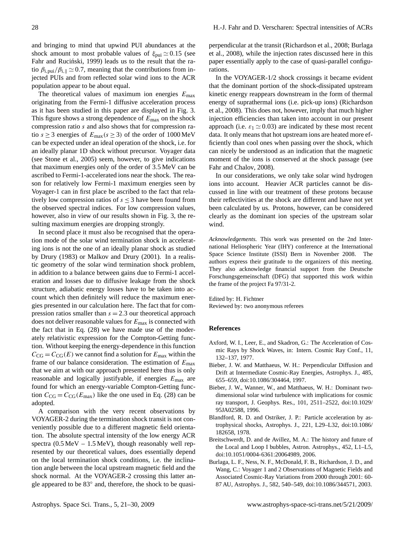and bringing to mind that upwind PUI abundances at the shock amount to most probable values of  $\xi_{\text{pui}} \simeq 0.15$  (see Fahr and Ruciński, [1999\)](#page-8-31) leads us to the result that the ratio  $\beta_{i,\text{pui}}/\beta_{i,\parallel} \simeq 0.7$ , meaning that the contributions from injected PUIs and from reflected solar wind ions to the ACR population appear to be about equal.

The theoretical values of maximum ion energies  $E_{\text{max}}$ originating from the Fermi-1 diffusive acceleration process as it has been studied in this paper are displayed in Fig. [3.](#page-5-0) This figure shows a strong dependence of  $E_{\text{max}}$  on the shock compression ratio s and also shows that for compression ratio  $s \ge 3$  energies of  $E_{\text{max}}(s \ge 3)$  of the order of 1000 MeV can be expected under an ideal operation of the shock, i.e. for an ideally planar 1D shock without precursor. Voyager data (see [Stone et al.,](#page-9-11) [2005\)](#page-9-11) seem, however, to give indications that maximum energies only of the order of 3.5 MeV can be ascribed to Fermi-1-accelerated ions near the shock. The reason for relatively low Fermi-1 maximum energies seen by Voyager-1 can in first place be ascribed to the fact that relatively low compression ratios of  $s \leq 3$  have been found from the observed spectral indices. For low compression values, however, also in view of our results shown in Fig. [3,](#page-5-0) the resulting maximum energies are dropping strongly.

In second place it must also be recognised that the operation mode of the solar wind termination shock in accelerating ions is not the one of an ideally planar shock as studied by [Drury](#page-8-20) [\(1983\)](#page-8-20) or [Malkov and Drury](#page-8-32) [\(2001\)](#page-8-32). In a realistic geometry of the solar wind termination shock problem, in addition to a balance between gains due to Fermi-1 acceleration and losses due to diffusive leakage from the shock structure, adiabatic energy losses have to be taken into account which then definitely will reduce the maximum energies presented in our calculation here. The fact that for compression ratios smaller than  $s = 2.3$  our theoretical approach does not deliver reasonable values for  $E_{\text{max}}$  is connected with the fact that in Eq. [\(28\)](#page-4-3) we have made use of the moderately relativistic expression for the Compton-Getting function. Without keeping the energy-dependence in this function  $C_{\text{CG}} = C_{\text{CG}}(E)$  we cannot find a solution for  $E_{\text{max}}$  within the frame of our balance consideration. The estimation of  $E_{\text{max}}$ that we aim at with our approach presented here thus is only reasonable and logically justifyable, if energies  $E_{\text{max}}$  are found for which an energy-variable Compton-Getting function  $C_{\text{CG}} = C_{\text{CG}}(E_{\text{max}})$  like the one used in Eq. [\(28\)](#page-4-3) can be adopted.

A comparison with the very recent observations by VOYAGER-2 during the termination shock transit is not conveniently possible due to a different magnetic field orientation. The absolute spectral intensity of the low energy ACR spectra  $(0.5 \text{ MeV} - 1.5 \text{ MeV})$ , though reasonably well represented by our theoretical values, does essentially depend on the local termination shock conditions, i.e. the inclination angle between the local upstream magnetic field and the shock normal. At the VOYAGER-2 crossing this latter angle appeared to be 83° and, therefore, the shock to be quasiperpendicular at the transit [\(Richardson et al.,](#page-9-13) [2008;](#page-9-13) [Burlaga](#page-8-33) [et al.,](#page-8-33) [2008\)](#page-8-33), while the injection rates discussed here in this paper essentially apply to the case of quasi-parallel configurations.

In the VOYAGER-1/2 shock crossings it became evident that the dominant portion of the shock-dissipated upstream kinetic energy reappears downstream in the form of thermal energy of suprathermal ions (i.e. pick-up ions) [\(Richardson](#page-9-13) [et al.,](#page-9-13) [2008\)](#page-9-13). This does not, however, imply that much higher injection efficiencies than taken into account in our present approach (i.e.  $\varepsilon_1 \approx 0.03$ ) are indicated by these most recent data. It only means that hot upstream ions are heated more efficiently than cool ones when passing over the shock, which can nicely be understood as an indication that the magnetic moment of the ions is conserved at the shock passage (see [Fahr and Chalov,](#page-8-34) [2008\)](#page-8-34).

In our considerations, we only take solar wind hydrogen ions into account. Heavier ACR particles cannot be discussed in line with our treatment of these protons because their reflectivities at the shock are different and have not yet been calculated by us. Protons, however, can be considered clearly as the dominant ion species of the upstream solar wind.

*Acknowledgements.* This work was presented on the 2nd International Heliospheric Year (IHY) conference at the International Space Science Institute (ISSI) Bern in November 2008. The authors express their gratitude to the organizers of this meeting. They also acknowledge financial support from the Deutsche Forschungsgemeinschaft (DFG) that supported this work within the frame of the project Fa 97/31-2.

Edited by: H. Fichtner Reviewed by: two anonymous referees

#### **References**

- <span id="page-7-1"></span>Axford, W. I., Leer, E., and Skadron, G.: The Acceleration of Cosmic Rays by Shock Waves, in: Intern. Cosmic Ray Conf., 11, 132–137, 1977.
- <span id="page-7-4"></span>Bieber, J. W. and Matthaeus, W. H.: Perpendicular Diffusion and Drift at Intermediate Cosmic-Ray Energies, Astrophys. J., 485, 655–659, doi:10.1086/304464, 1997.
- <span id="page-7-3"></span>Bieber, J. W., Wanner, W., and Matthaeus, W. H.: Dominant twodimensional solar wind turbulence with implications for cosmic ray transport, J. Geophys. Res., 101, 2511–2522, doi:10.1029/ 95JA02588, 1996.
- <span id="page-7-2"></span>Blandford, R. D. and Ostriker, J. P.: Particle acceleration by astrophysical shocks, Astrophys. J., 221, L29–L32, doi:10.1086/ 182658, 1978.
- <span id="page-7-0"></span>Breitschwerdt, D. and de Avillez, M. A.: The history and future of the Local and Loop I bubbles, Astron. Astrophys., 452, L1–L5, doi:10.1051/0004-6361:20064989, 2006.
- <span id="page-7-5"></span>Burlaga, L. F., Ness, N. F., McDonald, F. B., Richardson, J. D., and Wang, C.: Voyager 1 and 2 Observations of Magnetic Fields and Associated Cosmic-Ray Variations from 2000 through 2001: 60- 87 AU, Astrophys. J., 582, 540–549, doi:10.1086/344571, 2003.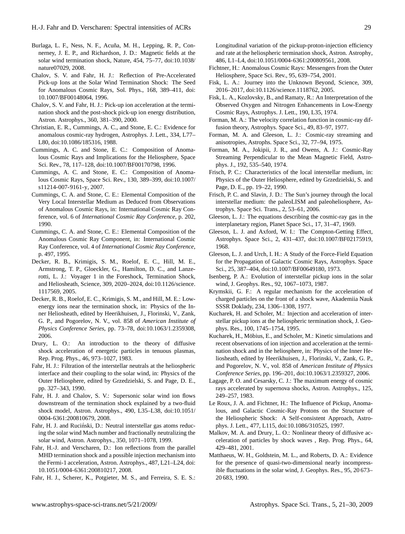- <span id="page-8-33"></span>Burlaga, L. F., Ness, N. F., Acuña, M. H., Lepping, R. P., Connerney, J. E. P., and Richardson, J. D.: Magnetic fields at the solar wind termination shock, Nature, 454, 75–77, doi:10.1038/ nature07029, 2008.
- <span id="page-8-8"></span>Chalov, S. V. and Fahr, H. J.: Reflection of Pre-Accelerated Pick-up Ions at the Solar Wind Termination Shock: The Seed for Anomalous Cosmic Rays, Sol. Phys., 168, 389–411, doi: 10.1007/BF00148064, 1996.
- <span id="page-8-7"></span>Chalov, S. V. and Fahr, H. J.: Pick-up ion acceleration at the termination shock and the post-shock pick-up ion energy distribution, Astron. Astrophys., 360, 381–390, 2000.
- <span id="page-8-5"></span>Christian, E. R., Cummings, A. C., and Stone, E. C.: Evidence for anomalous cosmic-ray hydrogen, Astrophys. J. Lett., 334, L77– L80, doi:10.1086/185316, 1988.
- <span id="page-8-1"></span>Cummings, A. C. and Stone, E. C.: Composition of Anomalous Cosmic Rays and Implications for the Heliosphere, Space Sci. Rev., 78, 117–128, doi:10.1007/BF00170798, 1996.
- <span id="page-8-4"></span>Cummings, A. C. and Stone, E. C.: Composition of Anomalous Cosmic Rays, Space Sci. Rev., 130, 389–399, doi:10.1007/ s11214-007-9161-y, 2007.
- <span id="page-8-13"></span>Cummings, C. A. and Stone, C. E.: Elemental Composition of the Very Local Interstellar Medium as Deduced from Observations of Anomalous Cosmic Rays, in: International Cosmic Ray Conference, vol. 6 of *International Cosmic Ray Conference*, p. 202, 1990.
- <span id="page-8-14"></span>Cummings, C. A. and Stone, C. E.: Elemental Composition of the Anomalous Cosmic Ray Component, in: International Cosmic Ray Conference, vol. 4 of *International Cosmic Ray Conference*, p. 497, 1995.
- <span id="page-8-30"></span>Decker, R. B., Krimigis, S. M., Roelof, E. C., Hill, M. E., Armstrong, T. P., Gloeckler, G., Hamilton, D. C., and Lanzerotti, L. J.: Voyager 1 in the Foreshock, Termination Shock, and Heliosheath, Science, 309, 2020–2024, doi:10.1126/science. 1117569, 2005.
- <span id="page-8-3"></span>Decker, R. B., Roelof, E. C., Krimigis, S. M., and Hill, M. E.: Lowenergy ions near the termination shock, in: Physics of the Inner Heliosheath, edited by Heerikhuisen, J., Florinski, V., Zank, G. P., and Pogorelov, N. V., vol. 858 of *American Institute of Physics Conference Series*, pp. 73–78, doi:10.1063/1.2359308, 2006.
- <span id="page-8-20"></span>Drury, L. O.: An introduction to the theory of diffusive shock acceleration of energetic particles in tenuous plasmas, Rep. Prog. Phys., 46, 973–1027, 1983.
- <span id="page-8-22"></span>Fahr, H. J.: Filtration of the interstellar neutrals at the heliospheric interface and their coupling to the solar wind, in: Physics of the Outer Heliosphere, edited by Grzedzielski, S. and Page, D. E., pp. 327–343, 1990.
- <span id="page-8-34"></span>Fahr, H. J. and Chalov, S. V.: Supersonic solar wind ion flows downstream of the termination shock explained by a two-fluid shock model, Astron. Astrophys., 490, L35–L38, doi:10.1051/ 0004-6361:200810679, 2008.
- <span id="page-8-31"></span>Fahr, H. J. and Ruciński, D.: Neutral interstellar gas atoms reducing the solar wind Mach number and fractionally neutralizing the solar wind, Astron. Astrophys., 350, 1071–1078, 1999.
- <span id="page-8-17"></span>Fahr, H.-J. and Verscharen, D.: Ion reflections from the parallel MHD termination shock and a possible injection mechanism into the Fermi-1 acceleration, Astron. Astrophys., 487, L21–L24, doi: 10.1051/0004-6361:200810217, 2008.
- <span id="page-8-12"></span>Fahr, H. J., Scherer, K., Potgieter, M. S., and Ferreira, S. E. S.:

Longitudinal variation of the pickup-proton-injection efficiency and rate at the heliospheric termination shock, Astron. Astrophy, 486, L1–L4, doi:10.1051/0004-6361:200809561, 2008.

- <span id="page-8-2"></span>Fichtner, H.: Anomalous Cosmic Rays: Messengers from the Outer Heliosphere, Space Sci. Rev., 95, 639–754, 2001.
- <span id="page-8-29"></span>Fisk, L. A.: Journey into the Unknown Beyond, Science, 309, 2016–2017, doi:10.1126/science.1118762, 2005.
- <span id="page-8-0"></span>Fisk, L. A., Kozlovsky, B., and Ramaty, R.: An Interpretation of the Observed Oxygen and Nitrogen Enhancements in Low-Energy Cosmic Rays, Astrophys. J. Lett., 190, L35, 1974.
- <span id="page-8-26"></span>Forman, M. A.: The velocity correlation function in cosmic-ray diffusion theory, Astrophys. Space Sci., 49, 83–97, 1977.
- <span id="page-8-27"></span>Forman, M. A. and Gleeson, L. J.: Cosmic-ray streaming and anisotropies, Astrophs. Space Sci., 32, 77–94, 1975.
- <span id="page-8-24"></span>Forman, M. A., Jokipii, J. R., and Owens, A. J.: Cosmic-Ray Streaming Perpendicular to the Mean Magnetic Field, Astrophys. J., 192, 535–540, 1974.
- <span id="page-8-15"></span>Frisch, P. C.: Characteristics of the local interstellar medium, in: Physics of the Outer Heliosphere, edited by Grzedzielski, S. and Page, D. E., pp. 19–22, 1990.
- <span id="page-8-16"></span>Frisch, P. C. and Slavin, J. D.: The Sun's journey through the local interstellar medium: the paleoLISM and paleoheliosphere, Astrophys. Space Sci. Trans., 2, 53–61, 2006.
- <span id="page-8-23"></span>Gleeson, L. J.: The equations describing the cosmic-ray gas in the interplanetary region, Planet Space Sci., 17, 31–47, 1969.
- <span id="page-8-21"></span>Gleeson, L. J. and Axford, W. I.: The Compton-Getting Effect, Astrophys. Space Sci., 2, 431–437, doi:10.1007/BF02175919, 1968.
- <span id="page-8-18"></span>Gleeson, L. J. and Urch, I. H.: A Study of the Force-Field Equation for the Propagation of Galactic Cosmic Rays, Astrophys. Space Sci., 25, 387–404, doi:10.1007/BF00649180, 1973.
- <span id="page-8-6"></span>Isenberg, P. A.: Evolution of interstellar pickup ions in the solar wind, J. Geophys. Res., 92, 1067–1073, 1987.
- <span id="page-8-19"></span>Krymskii, G. F.: A regular mechanism for the acceleration of charged particles on the front of a shock wave, Akademiia Nauk SSSR Doklady, 234, 1306–1308, 1977.
- <span id="page-8-9"></span>Kucharek, H. and Scholer, M.: Injection and acceleration of interstellar pickup ions at the heliospheric termination shock, J. Geophys. Res., 100, 1745–1754, 1995.
- <span id="page-8-11"></span>Kucharek, H., Möbius, E., and Scholer, M.: Kinetic simulations and recent observations of ion injection and acceleration at the termination shock and in the heliosphere, in: Physics of the Inner Heliosheath, edited by Heerikhuisen, J., Florinski, V., Zank, G. P., and Pogorelov, N. V., vol. 858 of *American Institute of Physics Conference Series*, pp. 196–201, doi:10.1063/1.2359327, 2006.
- <span id="page-8-28"></span>Lagage, P. O. and Cesarsky, C. J.: The maximum energy of cosmic rays accelerated by supernova shocks, Astron. Astrophys., 125, 249–257, 1983.
- <span id="page-8-10"></span>Le Roux, J. A. and Fichtner, H.: The Influence of Pickup, Anomalous, and Galactic Cosmic-Ray Protons on the Structure of the Heliospheric Shock: A Self-consistent Approach, Astrophys. J. Lett., 477, L115, doi:10.1086/310525, 1997.
- <span id="page-8-32"></span>Malkov, M. A. and Drury, L. O.: Nonlinear theory of diffusive acceleration of particles by shock waves , Rep. Prog. Phys., 64, 429–481, 2001.
- <span id="page-8-25"></span>Matthaeus, W. H., Goldstein, M. L., and Roberts, D. A.: Evidence for the presence of quasi-two-dimensional nearly incompressible fluctuations in the solar wind, J. Geophys. Res., 95, 20 673– 20 683, 1990.